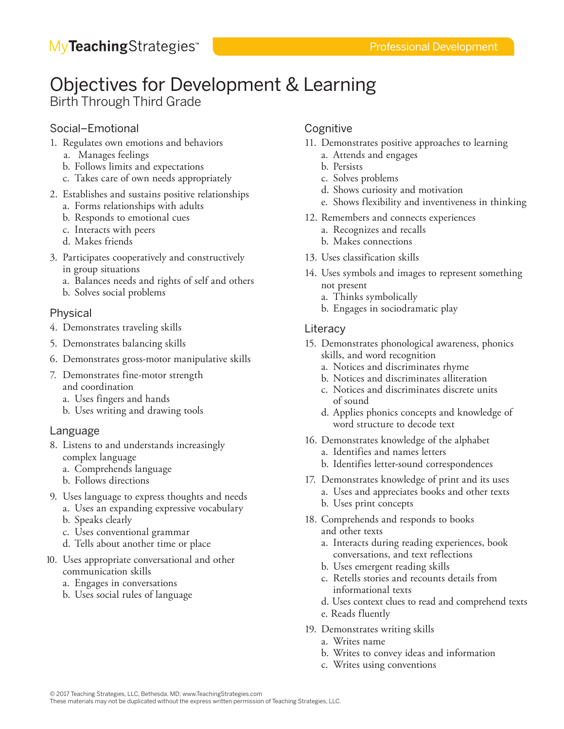# Objectives for Development & Learning

Birth Through Third Grade

## Social–Emotional

- 1. Regulates own emotions and behaviors
	- a. Manages feelings
	- b. Follows limits and expectations
	- c. Takes care of own needs appropriately
- 2. Establishes and sustains positive relationships a. Forms relationships with adults
	- b. Responds to emotional cues
	- c. Interacts with peers
	- d. Makes friends
- 3. Participates cooperatively and constructively in group situations
	- a. Balances needs and rights of self and others
	- b. Solves social problems

## Physical

- 4. Demonstrates traveling skills
- 5. Demonstrates balancing skills
- 6. Demonstrates gross-motor manipulative skills
- 7. Demonstrates fine-motor strength and coordination
	- a. Uses fingers and hands
	- b. Uses writing and drawing tools

## Language

- 8. Listens to and understands increasingly complex language
	- a. Comprehends language
	- b. Follows directions
- 9. Uses language to express thoughts and needs
	- a. Uses an expanding expressive vocabulary
	- b. Speaks clearly
	- c. Uses conventional grammar
	- d. Tells about another time or place
- 10. Uses appropriate conversational and other communication skills
	- a. Engages in conversations
	- b. Uses social rules of language

## Cognitive

- 11. Demonstrates positive approaches to learning
	- a. Attends and engages
	- b. Persists
	- c. Solves problems
	- d. Shows curiosity and motivation
	- e. Shows flexibility and inventiveness in thinking
- 12. Remembers and connects experiences
	- a. Recognizes and recalls
	- b. Makes connections
- 13. Uses classification skills
- 14. Uses symbols and images to represent something not present
	- a. Thinks symbolically
	- b. Engages in sociodramatic play

## **Literacy**

- 15. Demonstrates phonological awareness, phonics skills, and word recognition
	- a. Notices and discriminates rhyme
	- b. Notices and discriminates alliteration
	- c. Notices and discriminates discrete units of sound
	- d. Applies phonics concepts and knowledge of word structure to decode text
- 16. Demonstrates knowledge of the alphabet
	- a. Identifies and names letters
	- b. Identifies letter-sound correspondences
- 17. Demonstrates knowledge of print and its uses
	- a. Uses and appreciates books and other texts
	- b. Uses print concepts
- 18. Comprehends and responds to books and other texts
	- a. Interacts during reading experiences, book conversations, and text reflections
	- b. Uses emergent reading skills
	- c. Retells stories and recounts details from informational texts
	- d. Uses context clues to read and comprehend texts
	- e. Reads fluently
- 19. Demonstrates writing skills
	- a. Writes name
	- b. Writes to convey ideas and information
	- c. Writes using conventions